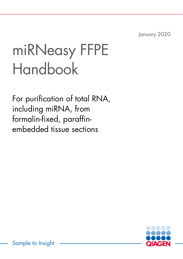January 2020

# miRNeasy FFPE Handbook

For purification of total RNA, including miRNA, from formalin-fixed, paraffinembedded tissue sections

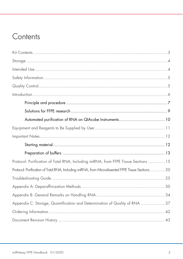# Contents

| Protocol: Purification of Total RNA, Including miRNA, from FFPE Tissue Sections  15               |  |
|---------------------------------------------------------------------------------------------------|--|
| Protocol: Purification of Total RNA, Including miRNA, from Microdissected FFPE Tissue Sections 20 |  |
|                                                                                                   |  |
|                                                                                                   |  |
|                                                                                                   |  |
| Appendix C: Storage, Quantification and Determination of Quality of RNA  37                       |  |
|                                                                                                   |  |
|                                                                                                   |  |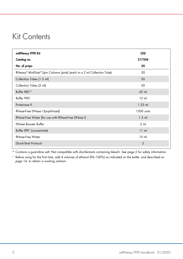# Kit Contents

| miRNeasy FFPE Kit                                                      | (50)            |
|------------------------------------------------------------------------|-----------------|
| Catalog no.                                                            | 217504          |
| No. of preps                                                           | 50              |
| RNeasy® MinElute® Spin Columns (pink) (each in a 2 ml Collection Tube) | 50              |
| Collection Tubes (1.5 ml)                                              | 50              |
| Collection Tubes (2 ml)                                                | 50              |
| Buffer RBC*                                                            | 45 ml           |
| <b>Buffer PKD</b>                                                      | 15 <sub>m</sub> |
| Proteinase K                                                           | $1.25$ ml       |
| RNase-Free DNase I (lyophilized)                                       | 1500 units      |
| RNase-Free Water (for use with RNase-Free DNase I)                     | $1.5$ m         |
| DNase Booster Buffer                                                   | $2 \mathrm{ml}$ |
| Buffer RPE <sup>†</sup> (concentrate)                                  | 11 ml           |
| RNase-Free Water                                                       | 10 <sub>m</sub> |
| Quick-Start Protocol                                                   | $\overline{2}$  |

\* Contains a guanidine salt. Not compatible with disinfectants containing bleach. See page 5 for safety information.

 $^\dagger$  Before using for the first time, add 4 volumes of ethanol (96–100%) as indicated on the bottle, and described on page 14, to obtain a working solution.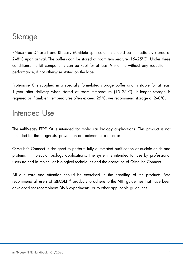# Storage

RNase-Free DNase I and RNeasy MinElute spin columns should be immediately stored at  $2-8^{\circ}$ C upon arrival. The buffers can be stored at room temperature (15–25 $^{\circ}$ C). Under these conditions, the kit components can be kept for at least 9 months without any reduction in performance, if not otherwise stated on the label.

Proteinase K is supplied in a specially formulated storage buffer and is stable for at least 1 year after delivery when stored at room temperature (15–25°C). If longer storage is required or if ambient temperatures often exceed 25°C, we recommend storage at 2–8°C.

# Intended Use

The miRNeasy FFPE Kit is intended for molecular biology applications. This product is not intended for the diagnosis, prevention or treatment of a disease.

QIAcube® Connect is designed to perform fully automated purification of nucleic acids and proteins in molecular biology applications. The system is intended for use by professional users trained in molecular biological techniques and the operation of QIAcube Connect.

All due care and attention should be exercised in the handling of the products. We recommend all users of QIAGEN® products to adhere to the NIH guidelines that have been developed for recombinant DNA experiments, or to other applicable guidelines.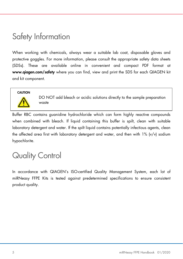# Safety Information

When working with chemicals, always wear a suitable lab coat, disposable gloves and protective goggles. For more information, please consult the appropriate safety data sheets (SDSs). These are available online in convenient and compact PDF format at www.qiagen.com/safety where you can find, view and print the SDS for each QIAGEN kit and kit component.

#### **CAUTION**



DO NOT add bleach or acidic solutions directly to the sample preparation waste

Buffer RBC contains guanidine hydrochloride which can form highly reactive compounds when combined with bleach. If liquid containing this buffer is spilt, clean with suitable laboratory detergent and water. If the spilt liquid contains potentially infectious agents, clean the affected area first with laboratory detergent and water, and then with 1% (v/v) sodium hypochlorite.

# Quality Control

In accordance with QIAGEN's ISO-certified Quality Management System, each lot of miRNeasy FFPE Kits is tested against predetermined specifications to ensure consistent product quality.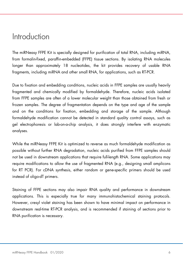### Introduction

The miRNeasy FFPE Kit is specially designed for purification of total RNA, including miRNA, from formalin-fixed, paraffin-embedded (FFPE) tissue sections. By isolating RNA molecules longer than approximately 18 nucleotides, the kit provides recovery of usable RNA fragments, including miRNA and other small RNA, for applications, such as RT-PCR.

Due to fixation and embedding conditions, nucleic acids in FFPE samples are usually heavily fragmented and chemically modified by formaldehyde. Therefore, nucleic acids isolated from FFPE samples are often of a lower molecular weight than those obtained from fresh or frozen samples. The degree of fragmentation depends on the type and age of the sample and on the conditions for fixation, embedding and storage of the sample. Although formaldehyde modification cannot be detected in standard quality control assays, such as gel electrophoresis or lab-on-a-chip analysis, it does strongly interfere with enzymatic analyses.

While the miRNeasy FFPE Kit is optimized to reverse as much formaldehyde modification as possible without further RNA degradation, nucleic acids purified from FFPE samples should not be used in downstream applications that require full-length RNA. Some applications may require modifications to allow the use of fragmented RNA (e.g., designing small amplicons for RT PCR). For cDNA synthesis, either random or gene-specific primers should be used instead of oligo-dT primers.

Staining of FFPE sections may also impair RNA quality and performance in downstream applications. This is especially true for many immunohistochemical staining protocols. However, cresyl violet staining has been shown to have minimal impact on performance in downstream real-time RT-PCR analysis, and is recommended if staining of sections prior to RNA purification is necessary.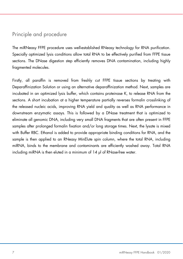### Principle and procedure

The miRNeasy FFPE procedure uses well-established RNeasy technology for RNA purification. Specially optimized lysis conditions allow total RNA to be effectively purified from FFPE tissue sections. The DNase digestion step efficiently removes DNA contamination, including highly fragmented molecules.

Firstly, all paraffin is removed from freshly cut FFPE tissue sections by treating with Deparaffinization Solution or using an alternative deparaffinization method. Next, samples are incubated in an optimized lysis buffer, which contains proteinase K, to release RNA from the sections. A short incubation at a higher temperature partially reverses formalin crosslinking of the released nucleic acids, improving RNA yield and quality as well as RNA performance in downstream enzymatic assays. This is followed by a DNase treatment that is optimized to eliminate all genomic DNA, including very small DNA fragments that are often present in FFPE samples after prolonged formalin fixation and/or long storage times. Next, the lysate is mixed with Buffer RBC. Ethanol is added to provide appropriate binding conditions for RNA, and the sample is then applied to an RNeasy MinElute spin column, where the total RNA, including miRNA, binds to the membrane and contaminants are efficiently washed away. Total RNA including miRNA is then eluted in a minimum of 14 µl of RNase-free water.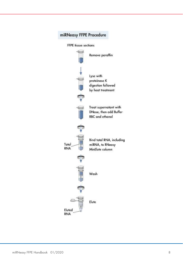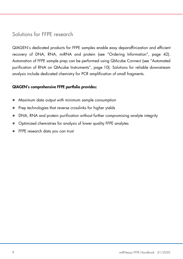### Solutions for FFPE research

QIAGEN's dedicated products for FFPE samples enable easy deparaffinization and efficient recovery of DNA, RNA, miRNA and protein (see "Ordering Information", page 42). Automation of FFPE sample prep can be performed using QIAcube Connect (see "Automated purification of RNA on QIAcube Instruments", page 10). Solutions for reliable downstream analysis include dedicated chemistry for PCR amplification of small fragments.

#### QIAGEN's comprehensive FFPE portfolio provides:

- Maximum data output with minimum sample consumption
- Prep technologies that reverse crosslinks for higher yields
- DNA, RNA and protein purification without further compromising analyte integrity
- Optimized chemistries for analysis of lower quality FFPE analytes
- **FFPE research data you can trust**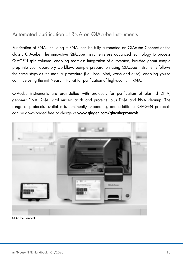### Automated purification of RNA on QIAcube Instruments

Purification of RNA, including miRNA, can be fully automated on QIAcube Connect or the classic QIAcube. The innovative QIAcube instruments use advanced technology to process QIAGEN spin columns, enabling seamless integration of automated, low-throughput sample prep into your laboratory workflow. Sample preparation using QIAcube instruments follows the same steps as the manual procedure (i.e., lyse, bind, wash and elute), enabling you to continue using the miRNeasy FFPE Kit for purification of high-quality miRNA.

QIAcube instruments are preinstalled with protocols for purification of plasmid DNA, genomic DNA, RNA, viral nucleic acids and proteins, plus DNA and RNA cleanup. The range of protocols available is continually expanding, and additional QIAGEN protocols can be downloaded free of charge at www.qiagen.com/qiacubeprotocols.



QIAcube Connect.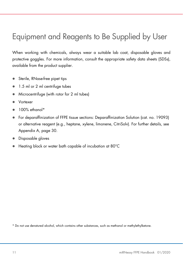# Equipment and Reagents to Be Supplied by User

When working with chemicals, always wear a suitable lab coat, disposable gloves and protective goggles. For more information, consult the appropriate safety data sheets (SDSs), available from the product supplier.

- Sterile, RNase-free pipet tips
- 1.5 ml or 2 ml centrifuge tubes
- Microcentrifuge (with rotor for 2 ml tubes)
- Vortexer
- 100% ethanol\*
- For deparaffinization of FFPE tissue sections: Deparaffinization Solution (cat. no. 19093) or alternative reagent (e.g., heptane, xylene, limonene, CitriSolv). For further details, see Appendix A, page 30.
- Disposable gloves
- Heating block or water bath capable of incubation at 80°C

\* Do not use denatured alcohol, which contains other substances, such as methanol or methylethylketone.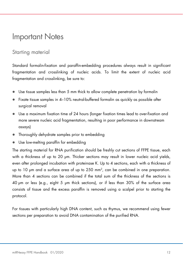# Important Notes

### Starting material

Standard formalin-fixation and paraffin-embedding procedures always result in significant fragmentation and crosslinking of nucleic acids. To limit the extent of nucleic acid fragmentation and crosslinking, be sure to:

- Use tissue samples less than 5 mm thick to allow complete penetration by formalin
- $\bullet$  Fixate tissue samples in 4–10% neutral-buffered formalin as quickly as possible after surgical removal
- Use a maximum fixation time of 24 hours (longer fixation times lead to over-fixation and more severe nucleic acid fragmentation, resulting in poor performance in downstream assays)
- Thoroughly dehydrate samples prior to embedding
- Use low-melting paraffin for embedding

The starting material for RNA purification should be freshly cut sections of FFPE tissue, each with a thickness of up to 20 µm. Thicker sections may result in lower nucleic acid yields, even after prolonged incubation with proteinase K. Up to 4 sections, each with a thickness of up to 10 µm and a surface area of up to 250 mm<sup>2</sup> , can be combined in one preparation. More than 4 sections can be combined if the total sum of the thickness of the sections is 40 µm or less (e.g., eight 5 µm thick sections), or if less than 30% of the surface area consists of tissue and the excess paraffin is removed using a scalpel prior to starting the protocol.

For tissues with particularly high DNA content, such as thymus, we recommend using fewer sections per preparation to avoid DNA contamination of the purified RNA.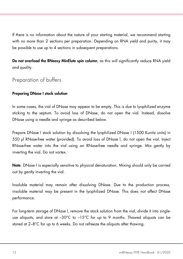If there is no information about the nature of your starting material, we recommend starting with no more than 2 sections per preparation. Depending on RNA yield and purity, it may be possible to use up to 4 sections in subsequent preparations.

Do not overload the RNeasy MinElute spin column, as this will significantly reduce RNA yield and quality.

### Preparation of buffers

#### Preparing DNase I stock solution

In some cases, the vial of DNase may appear to be empty. This is due to lyophilized enzyme sticking to the septum. To avoid loss of DNase, do not open the vial. Instead, dissolve DNase using a needle and syringe as described below.

Prepare DNase I stock solution by dissolving the lyophilized DNase I (1500 Kunitz units) in 550 µl RNase-free water (provided). To avoid loss of DNase I, do not open the vial. Inject RNase-free water into the vial using an RNase-free needle and syringe. Mix gently by inverting the vial. Do not vortex.

Note: DNase I is especially sensitive to physical denaturation. Mixing should only be carried out by gently inverting the vial.

Insoluble material may remain after dissolving DNase. Due to the production process, insoluble material may be present in the lyophilized DNase. This does not affect DNase performance.

For long-term storage of DNase I, remove the stock solution from the vial, divide it into singleuse aliquots, and store at  $-30^{\circ}$ C to  $-15^{\circ}$ C for up to 9 months. Thawed aliquots can be stored at 2–8°C for up to 6 weeks. Do not refreeze the aliquots after thawing.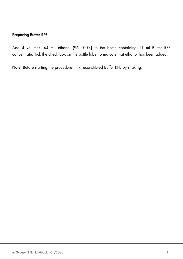#### Preparing Buffer RPE

Add 4 volumes (44 ml) ethanol (96–100%) to the bottle containing 11 ml Buffer RPE concentrate. Tick the check box on the bottle label to indicate that ethanol has been added.

Note: Before starting the procedure, mix reconstituted Buffer RPE by shaking.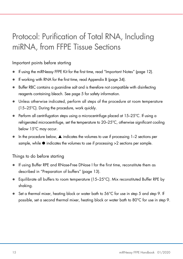# Protocol: Purification of Total RNA, Including miRNA, from FFPE Tissue Sections

### Important points before starting

- If using the miRNeasy FFPE Kit for the first time, read "Important Notes" (page 12).
- If working with RNA for the first time, read Appendix B (page 34).
- Buffer RBC contains a guanidine salt and is therefore not compatible with disinfecting reagents containing bleach. See page 5 for safety information.
- Unless otherwise indicated, perform all steps of the procedure at room temperature (15–25°C). During the procedure, work quickly.
- $\bullet$  Perform all centrifugation steps using a microcentrifuge placed at 15–25°C. If using a refrigerated microcentrifuge, set the temperature to 20–25°C, otherwise significant cooling below 15°C may occur.
- $\bullet$  In the procedure below,  $\blacktriangle$  indicates the volumes to use if processing 1–2 sections per sample, while  $\bullet$  indicates the volumes to use if processing  $>2$  sections per sample.

#### Things to do before starting

- If using Buffer RPE and RNase-Free DNase I for the first time, reconstitute them as described in "Preparation of buffers" (page 13).
- **Equilibrate all buffers to room temperature (15–25°C). Mix reconstituted Buffer RPE by** shaking.
- $\bullet$  Set a thermal mixer, heating block or water bath to 56°C for use in step 5 and step 9. If possible, set a second thermal mixer, heating block or water bath to 80°C for use in step 9.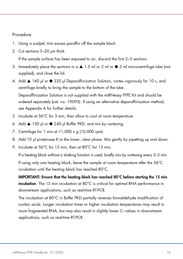#### Procedure

- 1. Using a scalpel, trim excess paraffin off the sample block.
- 2. Cut sections 5–20 µm thick.

If the sample surface has been exposed to air, discard the first 2–3 sections.

- 3. Immediately place the sections in  $a \triangle 1.5$  ml or 2 ml or  $\bullet$  2 ml microcentrifuge tube (not supplied), and close the lid.
- 4. Add ▲ 160 µl or 320 µl Deparaffinization Solution, vortex vigorously for 10 s, and centrifuge briefly to bring the sample to the bottom of the tube. Deparaffinization Solution is not supplied with the miRNeasy FFPE Kit and should be ordered separately (cat. no. 19093). If using an alternative deparaffinization method, see Appendix A for further details.
- 5. Incubate at 56°C for 3 min, then allow to cool at room temperature.
- 6. Add ▲ 150 µl or 240 µl Buffer PKD, and mix by vortexing.
- 7. Centrifuge for 1 min at  $11,000 \times q$  (10,000 rpm).
- 8. Add 10 µl proteinase K to the lower, clear phase. Mix gently by pipetting up and down.
- 9. Incubate at 56°C for 15 min, then at 80°C for 15 min.

If a heating block without a shaking function is used, briefly mix by vortexing every 3–5 min.

If using only one heating block, leave the sample at room temperature after the 56°C incubation until the heating block has reached 80°C.

IMPORTANT: Ensure that the heating block has reached 80°C before starting the 15 min incubation. The 15 min incubation at 80°C is critical for optimal RNA performance in downstream applications, such as real-time RT-PCR.

The incubation at 80°C in Buffer PKD partially reverses formaldehyde modification of nucleic acids. Longer incubation times or higher incubation temperatures may result in more fragmented RNA, but may also result in slightly lower  $C<sub>I</sub>$  values in downstream applications, such as real-time RT-PCR.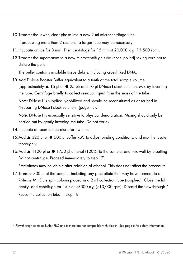10.Transfer the lower, clear phase into a new 2 ml microcentrifuge tube.

If processing more than 2 sections, a larger tube may be necessary.

- 11. Incubate on ice for 3 min. Then centrifuge for  $15$  min at  $20,000 \times q$  (13,500 rpm).
- 12.Transfer the supernatant to a new microcentrifuge tube (not supplied) taking care not to disturb the pellet.

The pellet contains insoluble tissue debris, including crosslinked DNA.

13.Add DNase Booster Buffer equivalent to a tenth of the total sample volume (approximately  $\triangle 16$  µl or  $\triangle 25$  µl) and 10 µl DNase I stock solution. Mix by inverting the tube. Centrifuge briefly to collect residual liquid from the sides of the tube.

Note: DNase I is supplied lyophilized and should be reconstituted as described in "Preparing DNase I stock solution" (page 13).

Note: DNase I is especially sensitive to physical denaturation. Mixing should only be carried out by gently inverting the tube. Do not vortex.

- 14.Incubate at room temperature for 15 min.
- 15.Add ▲ 320 µl or 500 µl Buffer RBC to adjust binding conditions, and mix the lysate thoroughly.
- 16.Add  $\triangle$  1120 µl or  $\bullet$  1750 µl ethanol (100%) to the sample, and mix well by pipetting. Do not centrifuge. Proceed immediately to step 17.

Precipitates may be visible after addition of ethanol. This does not affect the procedure.

17.Transfer 700 µl of the sample, including any precipitate that may have formed, to an RNeasy MinElute spin column placed in a 2 ml collection tube (supplied). Close the lid gently, and centrifuge for 15 s at  $\geq$ 8000 x g ( $\geq$ 10,000 rpm). Discard the flow-through.\* Reuse the collection tube in step 18.

<sup>\*</sup> Flow-through contains Buffer RBC and is therefore not compatible with bleach. See page 6 for safety information.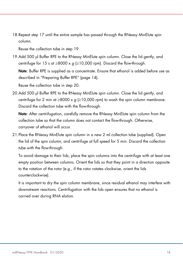18.Repeat step 17 until the entire sample has passed through the RNeasy MinElute spin column.

Reuse the collection tube in step 19.

19.Add 500 µl Buffer RPE to the RNeasy MinElute spin column. Close the lid gently, and centrifuge for 15 s at  $\geq$ 8000 x g ( $\geq$ 10,000 rpm). Discard the flow-through.

Note: Buffer RPE is supplied as a concentrate. Ensure that ethanol is added before use as described in "Preparing Buffer RPE" (page 14).

Reuse the collection tube in step 20.

20.Add 500 µl Buffer RPE to the RNeasy MinElute spin column. Close the lid gently, and centrifuge for 2 min at  $\geq 8000 \times g$  ( $\geq 10,000$  rpm) to wash the spin column membrane. Discard the collection tube with the flow-through.

Note: After centrifugation, carefully remove the RNeasy MinElute spin column from the collection tube so that the column does not contact the flow-through. Otherwise, carryover of ethanol will occur.

21.Place the RNeasy MinElute spin column in a new 2 ml collection tube (supplied). Open the lid of the spin column, and centrifuge at full speed for 5 min. Discard the collection tube with the flow-through.

To avoid damage to their lids, place the spin columns into the centrifuge with at least one empty position between columns. Orient the lids so that they point in a direction opposite to the rotation of the rotor (e.g., if the rotor rotates clockwise, orient the lids counterclockwise).

It is important to dry the spin column membrane, since residual ethanol may interfere with downstream reactions. Centrifugation with the lids open ensures that no ethanol is carried over during RNA elution.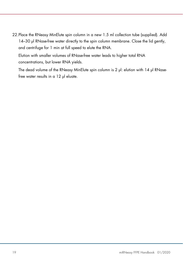22.Place the RNeasy MinElute spin column in a new 1.5 ml collection tube (supplied). Add 14-30 µl RNase-free water directly to the spin column membrane. Close the lid gently, and centrifuge for 1 min at full speed to elute the RNA.

Elution with smaller volumes of RNase-free water leads to higher total RNA concentrations, but lower RNA yields.

The dead volume of the RNeasy MinElute spin column is 2 µl: elution with 14 µl RNasefree water results in a 12 µl eluate.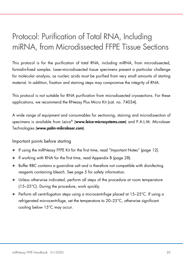# Protocol: Purification of Total RNA, Including miRNA, from Microdissected FFPE Tissue Sections

This protocol is for the purification of total RNA, including miRNA, from microdissected, formalin-fixed samples. Laser-microdissected tissue specimens present a particular challenge for molecular analysis, as nucleic acids must be purified from very small amounts of starting material. In addition, fixation and staining steps may compromise the integrity of RNA.

This protocol is not suitable for RNA purification from microdissected cryosections. For these applications, we recommend the RNeasy Plus Micro Kit (cat. no. 74034).

A wide range of equipment and consumables for sectioning, staining and microdissection of specimens is available from Leica® (www.leica-microsystems.com) and P.A.L.M. Microlaser Technologies (www.palm-mikrolaser.com).

#### Important points before starting

- If using the miRNeasy FFPE Kit for the first time, read "Important Notes" (page 12).
- If working with RNA for the first time, read Appendix B (page 28).
- Buffer RBC contains a guanidine salt and is therefore not compatible with disinfecting reagents containing bleach. See page 5 for safety information.
- Unless otherwise indicated, perform all steps of the procedure at room temperature (15–25°C). During the procedure, work quickly.
- $\bullet$  Perform all centrifugation steps using a microcentrifuge placed at 15–25°C. If using a refrigerated microcentrifuge, set the temperature to 20–25°C, otherwise significant cooling below 15°C may occur.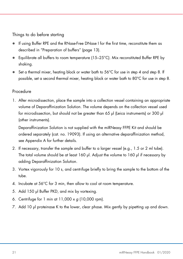Things to do before starting

- If using Buffer RPE and the RNase-Free DNase I for the first time, reconstitute them as described in "Preparation of buffers" (page 13).
- $\bullet$  Equilibrate all buffers to room temperature (15–25°C). Mix reconstituted Buffer RPE by shaking.
- $\bullet$  Set a thermal mixer, heating block or water bath to 56°C for use in step 4 and step 8. If possible, set a second thermal mixer, heating block or water bath to 80°C for use in step 8.

### Procedure

1. After microdissection, place the sample into a collection vessel containing an appropriate volume of Deparaffinization Solution. The volume depends on the collection vessel used for microdissection, but should not be greater than 65 µl (Leica instruments) or 300 µl (other instruments).

Deparaffinization Solution is not supplied with the miRNeasy FFPE Kit and should be ordered separately (cat. no. 19093). If using an alternative deparaffinization method, see Appendix A for further details.

- 2. If necessary, transfer the sample and buffer to a larger vessel (e.g., 1.5 or 2 ml tube). The total volume should be at least 160 µl. Adjust the volume to 160 µl if necessary by adding Deparaffinization Solution.
- 3. Vortex vigorously for 10 s, and centrifuge briefly to bring the sample to the bottom of the tube.
- 4. Incubate at 56°C for 3 min, then allow to cool at room temperature.
- 5. Add 150 µl Buffer PKD, and mix by vortexing.
- 6. Centrifuge for 1 min at  $11,000 \times g$  (10,000 rpm).
- 7. Add 10 µl proteinase K to the lower, clear phase. Mix gently by pipetting up and down.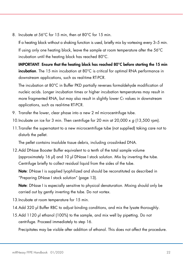8. Incubate at 56°C for 15 min, then at 80°C for 15 min.

If a heating block without a shaking function is used, briefly mix by vortexing every 3–5 min. If using only one heating block, leave the sample at room temperature after the 56°C incubation until the heating block has reached 80°C.

IMPORTANT: Ensure that the heating block has reached 80°C before starting the 15 min incubation. The 15 min incubation at 80°C is critical for optimal RNA performance in downstream applications, such as real-time RT-PCR.

The incubation at 80°C in Buffer PKD partially reverses formaldehyde modification of nucleic acids. Longer incubation times or higher incubation temperatures may result in more fragmented RNA, but may also result in slightly lower  $C<sub>I</sub>$  values in downstream applications, such as real-time RT-PCR.

- 9. Transfer the lower, clear phase into a new 2 ml microcentrifuge tube.
- 10. Incubate on ice for 3 min. Then centrifuge for 20 min at  $20,000 \times g$  (13,500 rpm).
- 11.Transfer the supernatant to a new microcentrifuge tube (not supplied) taking care not to disturb the pellet.

The pellet contains insoluble tissue debris, including crosslinked DNA.

12.Add DNase Booster Buffer equivalent to a tenth of the total sample volume (approximately 16 µl) and 10 µl DNase I stock solution. Mix by inverting the tube. Centrifuge briefly to collect residual liquid from the sides of the tube.

Note: DNase I is supplied lyophilized and should be reconstituted as described in "Preparing DNase I stock solution" (page 13).

Note: DNase I is especially sensitive to physical denaturation. Mixing should only be carried out by gently inverting the tube. Do not vortex.

- 13.Incubate at room temperature for 15 min.
- 14.Add 320 µl Buffer RBC to adjust binding conditions, and mix the lysate thoroughly.
- 15.Add 1120 µl ethanol (100%) to the sample, and mix well by pipetting. Do not centrifuge. Proceed immediately to step 16.

Precipitates may be visible after addition of ethanol. This does not affect the procedure.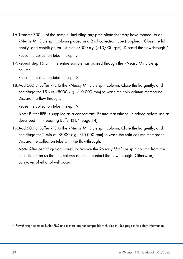- 16.Transfer 700 µl of the sample, including any precipitate that may have formed, to an RNeasy MinElute spin column placed in a 2 ml collection tube (supplied). Close the lid gently, and centrifuge for 15 s at  $\geq$ 8000 x g ( $\geq$ 10,000 rpm). Discard the flow-through.\* Reuse the collection tube in step 17.
- 17.Repeat step 16 until the entire sample has passed through the RNeasy MinElute spin column.

Reuse the collection tube in step 18.

18.Add 500 µl Buffer RPE to the RNeasy MinElute spin column. Close the lid gently, and centrifuge for 15 s at  $\geq$ 8000 x q ( $\geq$ 10,000 rpm) to wash the spin column membrane. Discard the flow-through.

Reuse the collection tube in step 19.

Note: Buffer RPE is supplied as a concentrate. Ensure that ethanol is added before use as described in "Preparing Buffer RPE" (page 14).

19.Add 500 µl Buffer RPE to the RNeasy MinElute spin column. Close the lid gently, and centrifuge for 2 min at ≥8000 x  $g$  (≥10,000 rpm) to wash the spin column membrane. Discard the collection tube with the flow-through.

Note: After centrifugation, carefully remove the RNeasy MinElute spin column from the collection tube so that the column does not contact the flow-through. Otherwise, carryover of ethanol will occur.

\* Flow-through contains Buffer RBC and is therefore not compatible with bleach. See page 6 for safety information.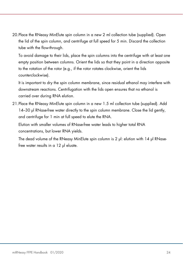20.Place the RNeasy MinElute spin column in a new 2 ml collection tube (supplied). Open the lid of the spin column, and centrifuge at full speed for 5 min. Discard the collection tube with the flow-through.

To avoid damage to their lids, place the spin columns into the centrifuge with at least one empty position between columns. Orient the lids so that they point in a direction opposite to the rotation of the rotor (e.g., if the rotor rotates clockwise, orient the lids counterclockwise).

It is important to dry the spin column membrane, since residual ethanol may interfere with downstream reactions. Centrifugation with the lids open ensures that no ethanol is carried over during RNA elution.

21.Place the RNeasy MinElute spin column in a new 1.5 ml collection tube (supplied). Add 14–30 µl RNase-free water directly to the spin column membrane. Close the lid gently, and centrifuge for 1 min at full speed to elute the RNA.

Elution with smaller volumes of RNase-free water leads to higher total RNA concentrations, but lower RNA yields.

The dead volume of the RNeasy MinElute spin column is 2 µl: elution with 14 µl RNasefree water results in a 12 µl eluate.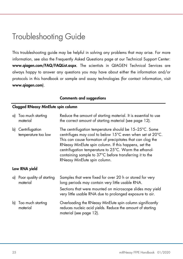# Troubleshooting Guide

This troubleshooting guide may be helpful in solving any problems that may arise. For more information, see also the Frequently Asked Questions page at our Technical Support Center: www.qiagen.com/FAQ/FAQList.aspx. The scientists in QIAGEN Technical Services are always happy to answer any questions you may have about either the information and/or protocols in this handbook or sample and assay technologies (for contact information, visit www.qiagen.com).

#### Comments and suggestions

#### Clogged RNeasy MinElute spin column

|    | a) Too much starting<br>material        | Reduce the amount of starting material. It is essential to use<br>the correct amount of starting material (see page 12).                                                                                                                                                                                                                                                                       |  |  |
|----|-----------------------------------------|------------------------------------------------------------------------------------------------------------------------------------------------------------------------------------------------------------------------------------------------------------------------------------------------------------------------------------------------------------------------------------------------|--|--|
| b) | Centrifugation<br>temperature too low   | The centrifugation temperature should be 15-25°C. Some<br>centrifuges may cool to below 15°C even when set at 20°C.<br>This can cause formation of precipitates that can clog the<br>RNeasy MinElute spin column. If this happens, set the<br>centrifugation temperature to 25°C. Warm the ethanol-<br>containing sample to 37°C before transferring it to the<br>RNeasy MinElute spin column. |  |  |
|    | Low RNA yield                           |                                                                                                                                                                                                                                                                                                                                                                                                |  |  |
|    |                                         |                                                                                                                                                                                                                                                                                                                                                                                                |  |  |
|    | a) Poor quality of starting<br>material | Samples that were fixed for over 20 h or stored for very<br>long periods may contain very little usable RNA.<br>Sections that were mounted on microscope slides may yield<br>very little usable RNA due to prolonged exposure to air.                                                                                                                                                          |  |  |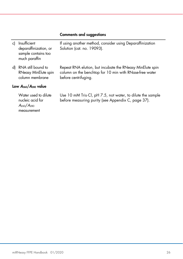| c) | Insufficient<br>deparaffinization, or<br>sample contains too<br>much paraffin | If using another method, consider using Deparaffinization<br>Solution (cat. no. 19093).                                                      |  |
|----|-------------------------------------------------------------------------------|----------------------------------------------------------------------------------------------------------------------------------------------|--|
| d) | RNA still bound to<br>RNeasy MinElute spin<br>column membrane                 | Repeat RNA elution, but incubate the RNeasy MinElute spin<br>column on the benchtop for 10 min with RNase-free water<br>before centrifuging. |  |
|    | Low $A_{260}/A_{280}$ value                                                   |                                                                                                                                              |  |
|    | Water used to dilute<br>nucleic acid for<br>$A_{260}/A_{280}$                 | Use 10 mM Tris Cl, pH 7.5, not water, to dilute the sample<br>before measuring purity (see Appendix C, page 37).                             |  |

measurement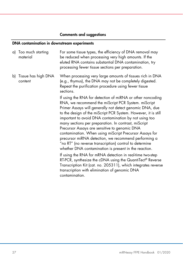### DNA contamination in downstream experiments

| a) Too much starting<br>material  | For some tissue types, the efficiency of DNA removal may<br>be reduced when processing very high amounts. If the<br>eluted RNA contains substantial DNA contamination, try<br>processing fewer tissue sections per preparation.                                                                                                                                                                                                                                                                                                                                                                                                                                                                                                                                                                                                                                                                                        |
|-----------------------------------|------------------------------------------------------------------------------------------------------------------------------------------------------------------------------------------------------------------------------------------------------------------------------------------------------------------------------------------------------------------------------------------------------------------------------------------------------------------------------------------------------------------------------------------------------------------------------------------------------------------------------------------------------------------------------------------------------------------------------------------------------------------------------------------------------------------------------------------------------------------------------------------------------------------------|
| b) Tissue has high DNA<br>content | When processing very large amounts of tissues rich in DNA<br>(e.g., thymus), the DNA may not be completely digested.<br>Repeat the purification procedure using fewer tissue<br>sections.                                                                                                                                                                                                                                                                                                                                                                                                                                                                                                                                                                                                                                                                                                                              |
|                                   | If using the RNA for detection of miRNA or other noncoding<br>RNA, we recommend the miScript PCR System. miScript<br>Primer Assays will generally not detect genomic DNA, due<br>to the design of the miScript PCR System. However, it is still<br>important to avoid DNA contamination by not using too<br>many sections per preparation. In contrast, miScript<br>Precursor Assays are sensitive to genomic DNA<br>contamination. When using miScript Precursor Assays for<br>precursor miRNA detection, we recommend performing a<br>"no RT" (no reverse transcription) control to determine<br>whether DNA contamination is present in the reaction.<br>If using the RNA for mRNA detection in real-time two-step<br>RT-PCR, synthesize the cDNA using the QuantiTect® Reverse<br>Transcription Kit (cat. no. 205311), which integrates reverse<br>transcription with elimination of genomic DNA<br>contamination. |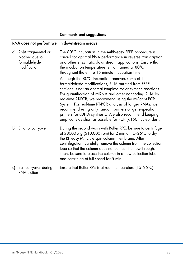### RNA does not perform well in downstream assays

| a) | RNA fragmented or<br>blocked due to<br>formaldehyde<br>modification | The 80°C incubation in the miRNeasy FFPE procedure is<br>crucial for optimal RNA performance in reverse transcription<br>and other enzymatic downstream applications. Ensure that<br>the incubation temperature is maintained at 80°C<br>throughout the entire 15 minute incubation time.                                                                                                                                                                                                                                            |
|----|---------------------------------------------------------------------|--------------------------------------------------------------------------------------------------------------------------------------------------------------------------------------------------------------------------------------------------------------------------------------------------------------------------------------------------------------------------------------------------------------------------------------------------------------------------------------------------------------------------------------|
|    |                                                                     | Although the 80°C incubation removes some of the<br>formaldehyde modifications, RNA purified from FFPE<br>sections is not an optimal template for enzymatic reactions.<br>For quantification of miRNA and other noncoding RNA by<br>real-time RT-PCR, we recommend using the miScript PCR<br>System. For real-time RT-PCR analysis of longer RNAs, we<br>recommend using only random primers or gene-specific<br>primers for cDNA synthesis. We also recommend keeping<br>amplicons as short as possible for PCR (<150 nucleotides). |
|    | b) Ethanol carryover                                                | During the second wash with Buffer RPE, be sure to centrifuge<br>at ≥8000 x $g$ (≥10,000 rpm) for 2 min at 15–25°C to dry<br>the RNeasy MinElute spin column membrane. After<br>centrifugation, carefully remove the column from the collection<br>tube so that the column does not contact the flow-through.<br>Then, be sure to place the column in a new collection tube<br>and centrifuge at full speed for 5 min.                                                                                                               |
| c) | Salt carryover during<br>RNA elution                                | Ensure that Buffer RPE is at room temperature $(15-25^{\circ}C)$ .                                                                                                                                                                                                                                                                                                                                                                                                                                                                   |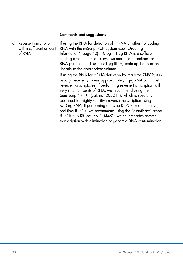| d) | Reverse transcription<br>with insufficient amount<br>of RNA | If using the RNA for detection of miRNA or other noncoding<br>RNA with the miScript PCR System (see "Ordering<br>Information", page 42), 10 pg $-1$ µg RNA is a sufficient<br>starting amount. If necessary, use more tissue sections for<br>RNA purification. If using $>1$ µg RNA, scale up the reaction<br>linearly to the appropriate volume.                                                                                                                                                                                                                                                                                                    |
|----|-------------------------------------------------------------|------------------------------------------------------------------------------------------------------------------------------------------------------------------------------------------------------------------------------------------------------------------------------------------------------------------------------------------------------------------------------------------------------------------------------------------------------------------------------------------------------------------------------------------------------------------------------------------------------------------------------------------------------|
|    |                                                             | If using the RNA for mRNA detection by real-time RT-PCR, it is<br>usually necessary to use approximately 1 µg RNA with most<br>reverse transcriptases. If performing reverse transcription with<br>very small amounts of RNA, we recommend using the<br>Sensiscript <sup>®</sup> RT Kit (cat. no. 205211), which is specially<br>designed for highly sensitive reverse transcription using<br><50 ng RNA. If performing one-step RT-PCR or quantitative,<br>real-time RT-PCR, we recommend using the QuantiFast® Probe<br>RT-PCR Plus Kit (cat. no. 204482) which integrates reverse<br>transcription with elimination of genomic DNA contamination. |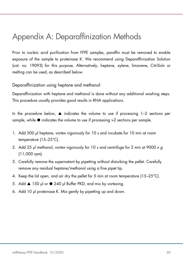# Appendix A: Deparaffinization Methods

Prior to nucleic acid purification from FFPE samples, paraffin must be removed to enable exposure of the sample to proteinase K. We recommend using Deparaffinization Solution (cat. no. 19093) for this purpose. Alternatively, heptane, xylene, limonene, CitriSolv or melting can be used, as described below.

#### Deparaffinization using heptane and methanol

Deparaffinization with heptane and methanol is done without any additional washing steps. This procedure usually provides good results in RNA applications.

In the procedure below,  $\triangle$  indicates the volume to use if processing 1–2 sections per sample, while  $\bullet$  indicates the volume to use if processing  $>2$  sections per sample.

- 1. Add 500 µl heptane, vortex vigorously for 10 s and incubate for 10 min at room temperature (15–25°C).
- 2. Add 25 µl methanol, vortex vigorously for 10 s and centrifuge for 2 min at 9000 x g (11,000 rpm).
- 3. Carefully remove the supernatant by pipetting without disturbing the pellet. Carefully remove any residual heptane/methanol using a fine pipet tip.
- 4. Keep the lid open, and air dry the pellet for 5 min at room temperature ( $15-25^{\circ}$ C).
- 5. Add ▲ 150 µl or 240 µl Buffer PKD, and mix by vortexing.
- 6. Add 10 µl proteinase K. Mix gently by pipetting up and down.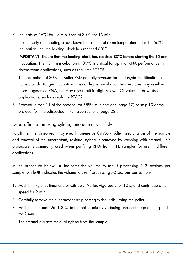7. Incubate at 56°C for 15 min, then at 80°C for 15 min.

If using only one heating block, leave the sample at room temperature after the 56°C incubation until the heating block has reached 80°C.

IMPORTANT: Ensure that the heating block has reached 80°C before starting the 15 min incubation. The 15 min incubation at 80°C is critical for optimal RNA performance in downstream applications, such as real-time RT-PCR.

The incubation at 80°C in Buffer PKD partially reverses formaldehyde modification of nucleic acids. Longer incubation times or higher incubation temperatures may result in more fragmented RNA, but may also result in slightly lower CT values in downstream applications, such as real-time RT-PCR.

8. Proceed to step 11 of the protocol for FFPE tissue sections (page 17) or step 10 of the protocol for microdissected FFPE tissue sections (page 22).

Deparaffinization using xylene, limonene or CitriSolv

Paraffin is first dissolved in xylene, limonene or CitriSolv. After precipitation of the sample and removal of the supernatant, residual xylene is removed by washing with ethanol. This procedure is commonly used when purifying RNA from FFPE samples for use in different applications.

In the procedure below,  $\triangle$  indicates the volume to use if processing 1–2 sections per sample, while  $\bullet$  indicates the volume to use if processing  $>2$  sections per sample.

- 1. Add 1 ml xylene, limonene or CitriSolv. Vortex vigorously for 10 s, and centrifuge at full speed for 2 min.
- 2. Carefully remove the supernatant by pipetting without disturbing the pellet.
- 3. Add 1 ml ethanol (96–100%) to the pellet, mix by vortexing and centrifuge at full speed for 2 min.

The ethanol extracts residual xylene from the sample.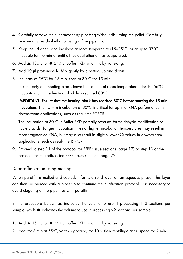- 4. Carefully remove the supernatant by pipetting without disturbing the pellet. Carefully remove any residual ethanol using a fine pipet tip.
- 5. Keep the lid open, and incubate at room temperature (15–25°C) or at up to 37°C. Incubate for 10 min or until all residual ethanol has evaporated.
- 6. Add ▲ 150 µl or 240 µl Buffer PKD, and mix by vortexing.
- 7. Add 10 µl proteinase K. Mix gently by pipetting up and down.
- 8. Incubate at 56°C for 15 min, then at 80°C for 15 min.

If using only one heating block, leave the sample at room temperature after the 56°C incubation until the heating block has reached 80°C.

IMPORTANT: Ensure that the heating block has reached 80°C before starting the 15 min incubation. The 15 min incubation at 80°C is critical for optimal RNA performance in downstream applications, such as real-time RT-PCR.

The incubation at 80°C in Buffer PKD partially reverses formaldehyde modification of nucleic acids. Longer incubation times or higher incubation temperatures may result in more fragmented RNA, but may also result in slightly lower  $C<sub>I</sub>$  values in downstream applications, such as real-time RT-PCR.

9. Proceed to step 11 of the protocol for FFPE tissue sections (page 17) or step 10 of the protocol for microdissected FFPE tissue sections (page 22).

Deparaffinization using melting

When paraffin is melted and cooled, it forms a solid layer on an aqueous phase. This layer can then be pierced with a pipet tip to continue the purification protocol. It is necessary to avoid clogging of the pipet tips with paraffin.

In the procedure below,  $\triangle$  indicates the volume to use if processing 1–2 sections per sample, while  $\bullet$  indicates the volume to use if processing  $>2$  sections per sample.

- 1. Add ▲ 150 µl or 240 µl Buffer PKD, and mix by vortexing.
- 2. Heat for 3 min at 55°C, vortex vigorously for 10 s, then centrifuge at full speed for 2 min.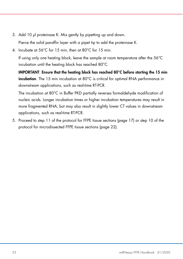3. Add 10 µl proteinase K. Mix gently by pipetting up and down.

Pierce the solid paraffin layer with a pipet tip to add the proteinase K.

4. Incubate at 56°C for 15 min, then at 80°C for 15 min.

If using only one heating block, leave the sample at room temperature after the 56°C incubation until the heating block has reached 80°C.

IMPORTANT: Ensure that the heating block has reached 80°C before starting the 15 min incubation. The 15 min incubation at 80°C is critical for optimal RNA performance in downstream applications, such as real-time RT-PCR.

The incubation at 80°C in Buffer PKD partially reverses formaldehyde modification of nucleic acids. Longer incubation times or higher incubation temperatures may result in more fragmented RNA, but may also result in slightly lower CT values in downstream applications, such as real-time RT-PCR.

5. Proceed to step 11 of the protocol for FFPE tissue sections (page 17) or step 10 of the protocol for microdissected FFPE tissue sections (page 22).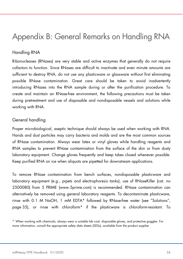# Appendix B: General Remarks on Handling RNA

### Handling RNA

Ribonucleases (RNases) are very stable and active enzymes that generally do not require cofactors to function. Since RNases are difficult to inactivate and even minute amounts are sufficient to destroy RNA, do not use any plasticware or glassware without first eliminating possible RNase contamination. Great care should be taken to avoid inadvertently introducing RNases into the RNA sample during or after the purification procedure. To create and maintain an RNase-free environment, the following precautions must be taken during pretreatment and use of disposable and nondisposable vessels and solutions while working with RNA.

#### General handling

Proper microbiological, aseptic technique should always be used when working with RNA. Hands and dust particles may carry bacteria and molds and are the most common sources of RNase contamination. Always wear latex or vinyl gloves while handling reagents and RNA samples to prevent RNase contamination from the surface of the skin or from dusty laboratory equipment. Change gloves frequently and keep tubes closed whenever possible. Keep purified RNA on ice when aliquots are pipetted for downstream applications.

To remove RNase contamination from bench surfaces, nondisposable plasticware and laboratory equipment (e.g., pipets and electrophoresis tanks), use of RNaseKiller (cat. no 2500080) from 5 PRIME (www.5prime.com) is recommended. RNase contamination can alternatively be removed using general laboratory reagents. To decontaminate plasticware, rinse with 0.1 M NaOH, 1 mM EDTA\* followed by RNase-free water (see "Solutions", page 35), or rinse with chloroform\* if the plasticware is chloroform-resistant. To

<sup>\*</sup> When working with chemicals, always wear a suitable lab coat, disposable gloves, and protective goggles. For more information, consult the appropriate safety data sheets (SDSs), available from the product supplier.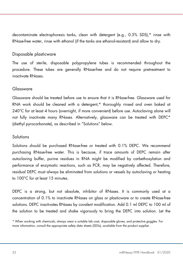decontaminate electrophoresis tanks, clean with detergent (e.g., 0.5% SDS),\* rinse with RNase-free water, rinse with ethanol (if the tanks are ethanol-resistant) and allow to dry.

#### Disposable plasticware

The use of sterile, disposable polypropylene tubes is recommended throughout the procedure. These tubes are generally RNase-free and do not require pretreatment to inactivate RNases.

#### Glassware

Glassware should be treated before use to ensure that it is RNase-free. Glassware used for RNA work should be cleaned with a detergent,\* thoroughly rinsed and oven baked at 240°C for at least 4 hours (overnight, if more convenient) before use. Autoclaving alone will not fully inactivate many RNases. Alternatively, glassware can be treated with DEPC\* (diethyl pyrocarbonate), as described in "Solutions" below.

#### **Solutions**

Solutions should be purchased RNase-free or treated with 0.1% DEPC. We recommend purchasing RNase-free water. This is because, if trace amounts of DEPC remain after autoclaving buffer, purine residues in RNA might be modified by carbethoxylation and performance of enzymatic reactions, such as PCR, may be negatively affected. Therefore, residual DEPC must always be eliminated from solutions or vessels by autoclaving or heating to 100°C for at least 15 minutes.

DEPC is a strong, but not absolute, inhibitor of RNases. It is commonly used at a concentration of 0.1% to inactivate RNases on glass or plasticware or to create RNase-free solutions. DEPC inactivates RNases by covalent modification. Add 0.1 ml DEPC to 100 ml of the solution to be treated and shake vigorously to bring the DEPC into solution. Let the

<sup>\*</sup> When working with chemicals, always wear a suitable lab coat, disposable gloves, and protective goggles. For more information, consult the appropriate safety data sheets (SDSs), available from the product supplier.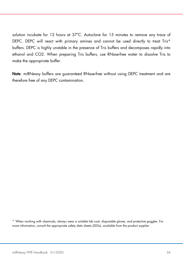solution incubate for 12 hours at 37ºC. Autoclave for 15 minutes to remove any trace of DEPC. DEPC will react with primary amines and cannot be used directly to treat Tris\* buffers. DEPC is highly unstable in the presence of Tris buffers and decomposes rapidly into ethanol and CO2. When preparing Tris buffers, use RNase-free water to dissolve Tris to make the appropriate buffer.

Note: miRNeasy buffers are guaranteed RNase-free without using DEPC treatment and are therefore free of any DEPC contamination.

\* When working with chemicals, always wear a suitable lab coat, disposable gloves, and protective goggles. For more information, consult the appropriate safety data sheets (SDSs), available from the product supplier.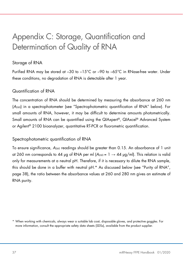# Appendix C: Storage, Quantification and Determination of Quality of RNA

### Storage of RNA

Purified RNA may be stored at –30 to –15°C or –90 to –65°C in RNase-free water. Under these conditions, no degradation of RNA is detectable after 1 year.

### Quantification of RNA

The concentration of RNA should be determined by measuring the absorbance at 260 nm (A260) in a spectrophotometer (see "Spectrophotometric quantification of RNA" below). For small amounts of RNA, however, it may be difficult to determine amounts photometrically. Small amounts of RNA can be quantified using the QIAxpert®, QIAxcel® Advanced System or Agilent® 2100 bioanalyzer, quantitative RT-PCR or fluorometric quantification.

#### Spectrophotometric quantification of RNA

To ensure significance,  $A_{260}$  readings should be greater than 0.15. An absorbance of 1 unit at 260 nm corresponds to 44 µg of RNA per ml  $(A_{260} = 1 \rightarrow 44 \text{ µg/ml})$ . This relation is valid only for measurements at a neutral pH. Therefore, if it is necessary to dilute the RNA sample, this should be done in a buffer with neutral pH.\* As discussed below (see "Purity of RNA", page 38), the ratio between the absorbance values at 260 and 280 nm gives an estimate of RNA purity.

<sup>\*</sup> When working with chemicals, always wear a suitable lab coat, disposable gloves, and protective goggles. For more information, consult the appropriate safety data sheets (SDSs), available from the product supplier.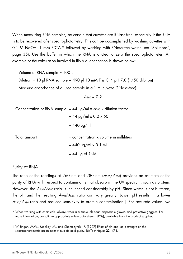When measuring RNA samples, be certain that cuvettes are RNase-free, especially if the RNA is to be recovered after spectrophotometry. This can be accomplished by washing cuvettes with 0.1 M NaOH, 1 mM EDTA,\* followed by washing with RNase-free water (see "Solutions", page 35). Use the buffer in which the RNA is diluted to zero the spectrophotometer. An example of the calculation involved in RNA quantification is shown below:

Volume of RNA sample = 100 µl Dilution = 10 µl RNA sample + 490 µl 10 mM Tris $\cdot$ Cl,\* pH 7.0 (1/50 dilution) Measure absorbance of diluted sample in a 1 ml cuvette (RNase-free)

 $A_{260} = 0.2$ 

|              | Concentration of RNA sample = $44 \mu g/ml \times A_{260} \times$ dilution factor |
|--------------|-----------------------------------------------------------------------------------|
|              | $= 44$ µg/ml x 0.2 x 50                                                           |
|              | $= 440 \text{ µg/ml}$                                                             |
| Total amount | $=$ concentration $x$ volume in milliliters<br>$= 440$ µg/ml x 0.1 ml             |
|              | $= 44$ µg of RNA                                                                  |

#### Purity of RNA

The ratio of the readings at 260 nm and 280 nm  $(A<sub>260</sub>/A<sub>280</sub>)$  provides an estimate of the purity of RNA with respect to contaminants that absorb in the UV spectrum, such as protein. However, the A260/A280 ratio is influenced considerably by pH. Since water is not buffered, the pH and the resulting  $A_{260}/A_{280}$  ratio can vary greatly. Lower pH results in a lower A260/A<sup>280</sup> ratio and reduced sensitivity to protein contamination.† For accurate values, we

<sup>\*</sup> When working with chemicals, always wear a suitable lab coat, disposable gloves, and protective goggles. For more information, consult the appropriate safety data sheets (SDSs), available from the product supplier.

<sup>†</sup> Wilfinger, W.W., Mackey, M., and Chomczynski, P. (1997) Effect of pH and ionic strength on the spectrophotometric assessment of nucleic acid purity. BioTechniques 22, 474.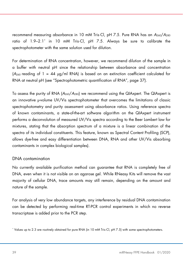recommend measuring absorbance in 10 mM Tris·Cl, pH 7.5. Pure RNA has an A<sub>260</sub>/A<sub>280</sub> ratio of 1.9–2.1\* in 10 mM Tris·Cl, pH 7.5. Always be sure to calibrate the spectrophotometer with the same solution used for dilution.

For determination of RNA concentration, however, we recommend dilution of the sample in a buffer with neutral pH since the relationship between absorbance and concentration (A<sub>260</sub> reading of  $1 = 44$   $\mu$ g/ml RNA) is based on an extinction coefficient calculated for RNA at neutral pH (see "Spectrophotometric quantification of RNA", page 37).

To assess the purity of RNA  $(A_{260}/A_{280})$  we recommend using the QIAxpert. The QIAxpert is an innovative μ-volume UV/Vis spectrophotometer that overcomes the limitations of classic spectrophotometry and purity assessment using absorbance ratios. Using reference spectra of known contaminants, a state-of-the-art software algorithm on the QIAxpert instrument performs a deconvolution of measured UV/Vis spectra according to the Beer Lambert law for mixtures, stating that the absorption spectrum of a mixture is a linear combination of the spectra of its individual constituents. This feature, known as Spectral Content Profiling (SCP), allows dye-free and easy differentiation between DNA, RNA and other UV/Vis absorbing contaminants in complex biological samples).

#### DNA contamination

No currently available purification method can guarantee that RNA is completely free of DNA, even when it is not visible on an agarose gel. While RNeasy Kits will remove the vast majority of cellular DNA, trace amounts may still remain, depending on the amount and nature of the sample.

For analysis of very low abundance targets, any interference by residual DNA contamination can be detected by performing real-time RT-PCR control experiments in which no reverse transcriptase is added prior to the PCR step.

<sup>\*</sup> Values up to 2.3 are routinely obtained for pure RNA (in 10 mM Tris·Cl, pH 7.5) with some spectrophotometers.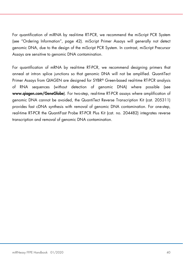For quantification of miRNA by real-time RT-PCR, we recommend the miScript PCR System (see "Ordering Information", page 42). miScript Primer Assays will generally not detect genomic DNA, due to the design of the miScript PCR System. In contrast, miScript Precursor Assays are sensitive to genomic DNA contamination.

For quantification of mRNA by real-time RT-PCR, we recommend designing primers that anneal at intron splice junctions so that genomic DNA will not be amplified. QuantiTect Primer Assays from QIAGEN are designed for SYBR® Green-based real-time RT-PCR analysis of RNA sequences (without detection of genomic DNA) where possible (see www.qiagen.com/GeneGlobe). For two-step, real-time RT-PCR assays where amplification of genomic DNA cannot be avoided, the QuantiTect Reverse Transcription Kit (cat. 205311) provides fast cDNA synthesis with removal of genomic DNA contamination. For one-step, real-time RT-PCR the QuantiFast Probe RT-PCR Plus Kit (cat. no. 204482) integrates reverse transcription and removal of genomic DNA contamination.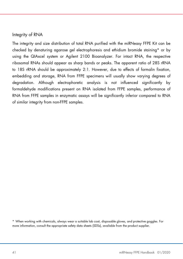#### Integrity of RNA

The integrity and size distribution of total RNA purified with the miRNeasy FFPE Kit can be checked by denaturing agarose gel electrophoresis and ethidium bromide staining\* or by using the QIAxcel system or Agilent 2100 Bioanalyzer. For intact RNA, the respective ribosomal RNAs should appear as sharp bands or peaks. The apparent ratio of 28S rRNA to 18S rRNA should be approximately 2:1. However, due to effects of formalin fixation, embedding and storage, RNA from FFPE specimens will usually show varying degrees of degradation. Although electrophoretic analysis is not influenced significantly by formaldehyde modifications present on RNA isolated from FFPE samples, performance of RNA from FFPE samples in enzymatic assays will be significantly inferior compared to RNA of similar integrity from non-FFPE samples.

\* When working with chemicals, always wear a suitable lab coat, disposable gloves, and protective goggles. For more information, consult the appropriate safety data sheets (SDSs), available from the product supplier.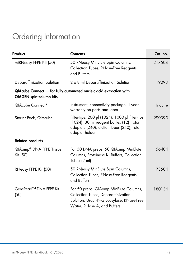# Ordering Information

| Product                                    | <b>Contents</b>                                                                                                                                              | Cat. no. |
|--------------------------------------------|--------------------------------------------------------------------------------------------------------------------------------------------------------------|----------|
| miRNeasy FFPE Kit (50)                     | 50 RNeasy MinElute Spin Columns,<br>Collection Tubes, RNase-Free Reagents<br>and Buffers                                                                     | 217504   |
| Deparaffinization Solution                 | 2 x 8 ml Deparaffinization Solution                                                                                                                          | 19093    |
| <b>QIAGEN</b> spin-column kits             | QIAcube Connect - for fully automated nucleic acid extraction with                                                                                           |          |
| QIAcube Connect*                           | Instrument, connectivity package, 1-year<br>warranty on parts and labor                                                                                      | Inquire  |
| Starter Pack, QIAcube                      | Filter-tips, 200 µl (1024), 1000 µl filter-tips<br>(1024), 30 ml reagent bottles (12), rotor<br>adapters (240), elution tubes (240), rotor<br>adapter holder | 990395   |
| <b>Related products</b>                    |                                                                                                                                                              |          |
| QIAamp® DNA FFPE Tissue<br>Kit (50)        | For 50 DNA preps: 50 QIAamp MinElute<br>Columns, Proteinase K, Buffers, Collection<br>Tubes (2 ml)                                                           | 56404    |
| RNeasy FFPE Kit (50)                       | 50 RNeasy MinElute Spin Columns,<br>Collection Tubes, RNase-Free Reagents<br>and Buffers                                                                     | 73504    |
| GeneRead <sup>™</sup> DNA FFPE Kit<br>(50) | For 50 preps: QIAamp MinElute Columns,<br>Collection Tubes, Deparaffinization<br>Solution, Uracil-N-Glycosylase, RNase-Free<br>Water, RNase A, and Buffers   | 180134   |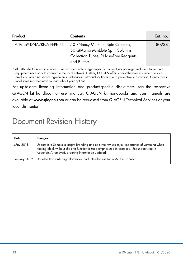| Product                   | <b>Contents</b>                                                                                                              | Cat. no. |
|---------------------------|------------------------------------------------------------------------------------------------------------------------------|----------|
| AllPrep® DNA/RNA FFPE Kit | 50 RNeasy MinElute Spin Columns,<br>50 QIAamp MinElute Spin Columns,<br>Collection Tubes, RNase-Free Reagents<br>and Buffers | 80234    |

\* All QIAcube Connect instruments are provided with a region-specific connectivity package, including tablet and equipment necessary to connect to the local network. Further, QIAGEN offers comprehensive instrument service products, including service agreements, installation, introductory training and preventive subscription. Contact your local sales representative to learn about your options.

For up-to-date licensing information and product-specific disclaimers, see the respective QIAGEN kit handbook or user manual. QIAGEN kit handbooks and user manuals are available at www.qiagen.com or can be requested from QIAGEN Technical Services or your local distributor.

## Document Revision History

| Date         | Changes                                                                                                                                                                                                                                            |
|--------------|----------------------------------------------------------------------------------------------------------------------------------------------------------------------------------------------------------------------------------------------------|
| May 2018     | Update into Sample-to-Insight branding and edit into revised style. Importance of vortexing when<br>heating block without shaking function is used emphasized in protocols. Redundant step in<br>Appendix A removed, ordering Information updated. |
| January 2019 | Updated text, ordering information and intended use for QIAcube Connect.                                                                                                                                                                           |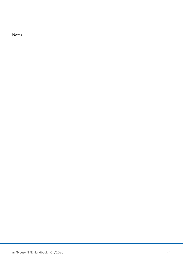**Notes**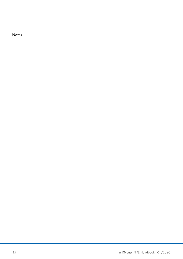**Notes**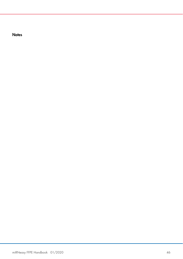**Notes**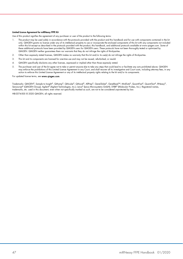#### Limited License Agreement for miRNeasy FFPE Kit

Use of this product signifies the agreement of any purchaser or user of the product to the following terms:

- 1. The product may be used solely in accordance with the protocols provided with the product and this handbook and for use with components contained in the kit only. QIAGEN grants no license under any of its intellectual property to use or incorporate the enclosed components of this kit with any components not included within this kit except as described in the protocols provided with the product, this handbook, and additional protocols available at www.qiagen.com. Some of these additional protocols have been provided by QIAGEN users for QIAGEN users. These protocols have not been thoroughly tested or optimized by QIAGEN. QIAGEN neither guarantees them nor warrants that they do not infringe the rights of third-parties.
- 2. Other than expressly stated licenses, QIAGEN makes no warranty that this kit and/or its use(s) do not infringe the rights of third-parties.
- 3. This kit and its components are licensed for one-time use and may not be reused, refurbished, or resold.
- 4. QIAGEN specifically disclaims any other licenses, expressed or implied other than those expressly stated.
- 5. The purchaser and user of the kit agree not to take or permit anyone else to take any steps that could lead to or facilitate any acts prohibited above. QIAGEN may enforce the prohibitions of this Limited License Agreement in any Court, and shall recover all its investigative and Court costs, including attorney fees, in any action to enforce this Limited License Agreement or any of its intellectual property rights relating to the kit and/or its components.

#### For updated license terms, see www.qiagen.com.

Trademarks: QIAGEN®, Sample to Insight®, QIAamp®, QIAcube®, QIAxcel®, AllPrep®, GeneGlobe®, GeneRead™, MinElute®, QuantiFast®, QuantiTect®, RNeasy®, Sensiscript® (QIAGEN Group); Agilent® (Agilent Technologies, Inc.); Leica® (Leica Microsystems GmbH); SYBR® (Molecular Probes, Inc.). Registered names, trademarks, etc. used in this document, even when not specifically marked as such, are not to be considered unprotected by law.

HB-0374-005 © 2020 QIAGEN, all rights reserved.